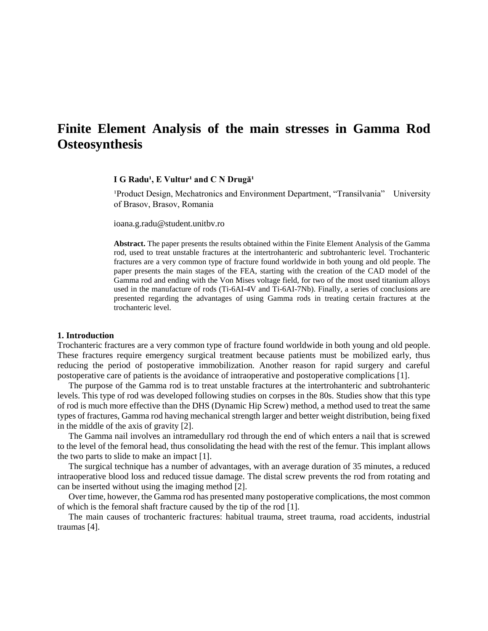# **Finite Element Analysis of the main stresses in Gamma Rod Osteosynthesis**

# $I G Radu<sup>1</sup>, E Vultur<sup>1</sup> and C N Drugă<sup>1</sup>$

<sup>1</sup>Product Design, Mechatronics and Environment Department, "Transilvania" University of Brasov, Brasov, Romania

ioana.g.radu@student.unitbv.ro

**Abstract.** The paper presents the results obtained within the Finite Element Analysis of the Gamma rod, used to treat unstable fractures at the intertrohanteric and subtrohanteric level. Trochanteric fractures are a very common type of fracture found worldwide in both young and old people. The paper presents the main stages of the FEA, starting with the creation of the CAD model of the Gamma rod and ending with the Von Mises voltage field, for two of the most used titanium alloys used in the manufacture of rods (Ti-6AI-4V and Ti-6AI-7Nb). Finally, a series of conclusions are presented regarding the advantages of using Gamma rods in treating certain fractures at the trochanteric level.

#### **1. Introduction**

Trochanteric fractures are a very common type of fracture found worldwide in both young and old people. These fractures require emergency surgical treatment because patients must be mobilized early, thus reducing the period of postoperative immobilization. Another reason for rapid surgery and careful postoperative care of patients is the avoidance of intraoperative and postoperative complications [1].

The purpose of the Gamma rod is to treat unstable fractures at the intertrohanteric and subtrohanteric levels. This type of rod was developed following studies on corpses in the 80s. Studies show that this type of rod is much more effective than the DHS (Dynamic Hip Screw) method, a method used to treat the same types of fractures, Gamma rod having mechanical strength larger and better weight distribution, being fixed in the middle of the axis of gravity [2].

The Gamma nail involves an intramedullary rod through the end of which enters a nail that is screwed to the level of the femoral head, thus consolidating the head with the rest of the femur. This implant allows the two parts to slide to make an impact [1].

The surgical technique has a number of advantages, with an average duration of 35 minutes, a reduced intraoperative blood loss and reduced tissue damage. The distal screw prevents the rod from rotating and can be inserted without using the imaging method [2].

Over time, however, the Gamma rod has presented many postoperative complications, the most common of which is the femoral shaft fracture caused by the tip of the rod [1].

The main causes of trochanteric fractures: habitual trauma, street trauma, road accidents, industrial traumas [4].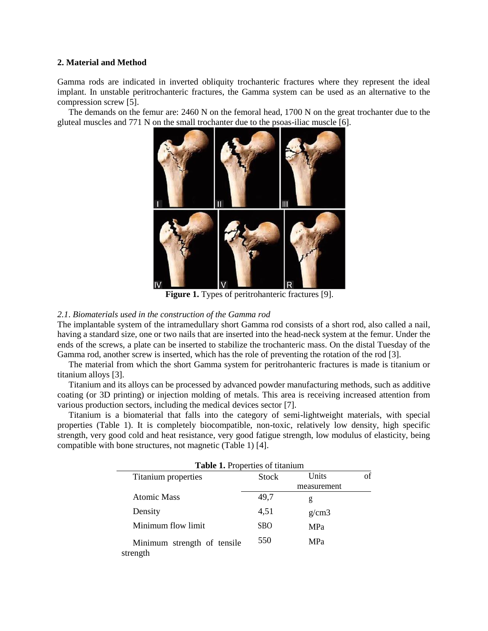## **2. Material and Method**

Gamma rods are indicated in inverted obliquity trochanteric fractures where they represent the ideal implant. In unstable peritrochanteric fractures, the Gamma system can be used as an alternative to the compression screw [5].

The demands on the femur are: 2460 N on the femoral head, 1700 N on the great trochanter due to the gluteal muscles and 771 N on the small trochanter due to the psoas-iliac muscle [6].



**Figure 1.** Types of peritrohanteric fractures [9].

## *2.1*. *Biomaterials used in the construction of the Gamma rod*

The implantable system of the intramedullary short Gamma rod consists of a short rod, also called a nail, having a standard size, one or two nails that are inserted into the head-neck system at the femur. Under the ends of the screws, a plate can be inserted to stabilize the trochanteric mass. On the distal Tuesday of the Gamma rod, another screw is inserted, which has the role of preventing the rotation of the rod [3].

The material from which the short Gamma system for peritrohanteric fractures is made is titanium or titanium alloys [3].

Titanium and its alloys can be processed by advanced powder manufacturing methods, such as additive coating (or 3D printing) or injection molding of metals. This area is receiving increased attention from various production sectors, including the medical devices sector [7].

Titanium is a biomaterial that falls into the category of semi-lightweight materials, with special properties (Table 1). It is completely biocompatible, non-toxic, relatively low density, high specific strength, very good cold and heat resistance, very good fatigue strength, low modulus of elasticity, being compatible with bone structures, not magnetic (Table 1) [4].

| Table 1. Properties of titanium         |            |             |    |
|-----------------------------------------|------------|-------------|----|
| Titanium properties                     | Stock      | Units       | of |
|                                         |            | measurement |    |
| Atomic Mass                             | 49,7       | g           |    |
| Density                                 | 4,51       | g/cm3       |    |
| Minimum flow limit                      | <b>SBO</b> | <b>MPa</b>  |    |
| Minimum strength of tensile<br>strength | 550        | <b>MPa</b>  |    |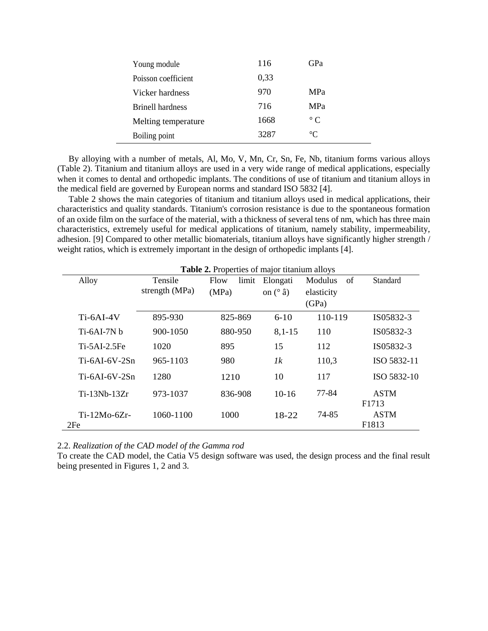| Young module            | 116  | GPa          |
|-------------------------|------|--------------|
| Poisson coefficient     | 0,33 |              |
| Vicker hardness         | 970  | <b>MPa</b>   |
| <b>Brinell hardness</b> | 716  | <b>MPa</b>   |
| Melting temperature     | 1668 | $^{\circ}$ C |
| Boiling point           | 3287 | $^{\circ}C$  |

By alloying with a number of metals, Al, Mo, V, Mn, Cr, Sn, Fe, Nb, titanium forms various alloys (Table 2). Titanium and titanium alloys are used in a very wide range of medical applications, especially when it comes to dental and orthopedic implants. The conditions of use of titanium and titanium alloys in the medical field are governed by European norms and standard ISO 5832 [4].

Table 2 shows the main categories of titanium and titanium alloys used in medical applications, their characteristics and quality standards. Titanium's corrosion resistance is due to the spontaneous formation of an oxide film on the surface of the material, with a thickness of several tens of nm, which has three main characteristics, extremely useful for medical applications of titanium, namely stability, impermeability, adhesion. [9] Compared to other metallic biomaterials, titanium alloys have significantly higher strength / weight ratios, which is extremely important in the design of orthopedic implants [4].

| <b>Table 2.</b> Properties of major titanium alloys |                |               |                   |               |                                  |
|-----------------------------------------------------|----------------|---------------|-------------------|---------------|----------------------------------|
| Alloy                                               | Tensile        | limit<br>Flow | Elongati          | Modulus<br>of | Standard                         |
|                                                     | strength (MPa) | (MPa)         | on $(^{\circ}$ â) | elasticity    |                                  |
|                                                     |                |               |                   | (GPa)         |                                  |
| Ti-6AI-4V                                           | 895-930        | 825-869       | $6-10$            | 110-119       | IS05832-3                        |
| $Ti-6AI-7Nh$                                        | 900-1050       | 880-950       | $8,1-15$          | 110           | IS05832-3                        |
| $Ti-5AI-2.5Fe$                                      | 1020           | 895           | 15                | 112           | IS05832-3                        |
| $Ti-6AI-6V-2Sn$                                     | 965-1103       | 980           | 1k                | 110,3         | ISO 5832-11                      |
| $Ti-6AI-6V-2Sn$                                     | 1280           | 1210          | 10                | 117           | ISO 5832-10                      |
| $Ti-13Nb-13Zr$                                      | 973-1037       | 836-908       | $10-16$           | 77-84         | <b>ASTM</b><br>F1713             |
| $Ti-12Mo-6Zr-$<br>2Fe                               | 1060-1100      | 1000          | $18-22$           | 74-85         | <b>ASTM</b><br>F <sub>1813</sub> |

2.2. *Realization of the CAD model of the Gamma rod*

To create the CAD model, the Catia V5 design software was used, the design process and the final result being presented in Figures 1, 2 and 3.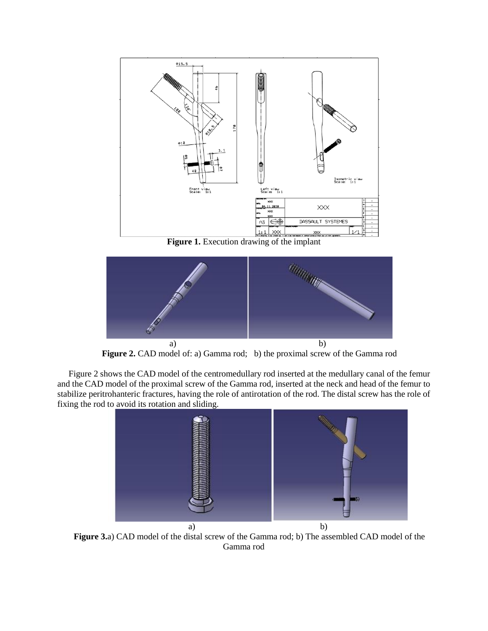

**Figure 1.** Execution drawing of the implant



**Figure 2.** CAD model of: a) Gamma rod; b) the proximal screw of the Gamma rod

Figure 2 shows the CAD model of the centromedullary rod inserted at the medullary canal of the femur and the CAD model of the proximal screw of the Gamma rod, inserted at the neck and head of the femur to stabilize peritrohanteric fractures, having the role of antirotation of the rod. The distal screw has the role of fixing the rod to avoid its rotation and sliding.



**Figure 3.**a) CAD model of the distal screw of the Gamma rod; b) The assembled CAD model of the Gamma rod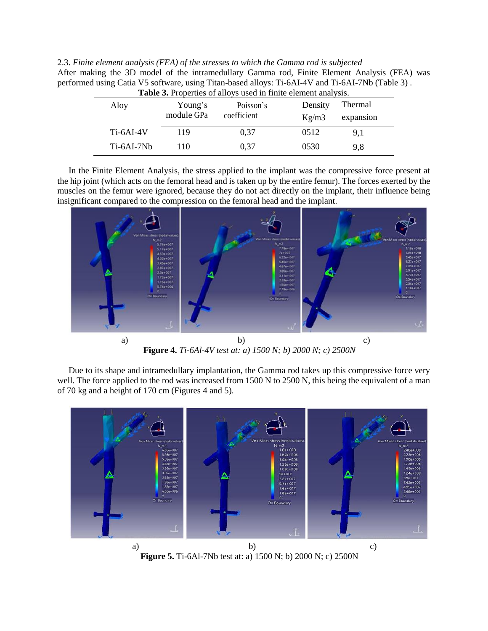| 2.3. Finite element analysis (FEA) of the stresses to which the Gamma rod is subjected                                                                                                                                                                                                                         |
|----------------------------------------------------------------------------------------------------------------------------------------------------------------------------------------------------------------------------------------------------------------------------------------------------------------|
| After making the 3D model of the intramedullary Gamma rod, Finite Element Analysis (FEA) was                                                                                                                                                                                                                   |
| performed using Catia V5 software, using Titan-based alloys: Ti-6AI-4V and Ti-6AI-7Nb (Table 3).                                                                                                                                                                                                               |
| $\mathbf{m}$ . I.e. $\mathbf{a}$ , $\mathbf{b}$ , $\mathbf{a}$ , $\mathbf{a}$ , $\mathbf{c}$ , $\mathbf{c}$ , $\mathbf{d}$ , $\mathbf{c}$ , $\mathbf{a}$ , $\mathbf{c}$ , $\mathbf{c}$ , $\mathbf{c}$ , $\mathbf{c}$ , $\mathbf{c}$ , $\mathbf{c}$ , $\mathbf{c}$ , $\mathbf{c}$ , $\mathbf{c}$ , $\mathbf{c}$ |

| Aloy         | Young's<br>module GPa | Poisson's<br>coefficient | Density<br>Kg/m3 | Thermal<br>expansion |  |
|--------------|-----------------------|--------------------------|------------------|----------------------|--|
| $Ti-6AI-4V$  | 119                   | 0.37                     | 0512             | 9,1                  |  |
| $Ti-6AI-7Nb$ | 110                   | 0.37                     | 0530             | 9,8                  |  |

In the Finite Element Analysis, the stress applied to the implant was the compressive force present at the hip joint (which acts on the femoral head and is taken up by the entire femur). The forces exerted by the muscles on the femur were ignored, because they do not act directly on the implant, their influence being insignificant compared to the compression on the femoral head and the implant.



**a**) b) c) **Figure 4.** *Ti-6Al-4V test at: a) 1500 N; b) 2000 N; c) 2500N*

Due to its shape and intramedullary implantation, the Gamma rod takes up this compressive force very well. The force applied to the rod was increased from 1500 N to 2500 N, this being the equivalent of a man of 70 kg and a height of 170 cm (Figures 4 and 5).



**Figure 5.** Ti-6Al-7Nb test at: a) 1500 N; b) 2000 N; c) 2500N